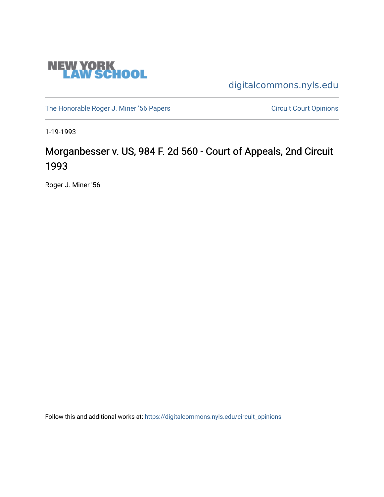

[digitalcommons.nyls.edu](https://digitalcommons.nyls.edu/) 

[The Honorable Roger J. Miner '56 Papers](https://digitalcommons.nyls.edu/miner_papers) Circuit Court Opinions

1-19-1993

# Morganbesser v. US, 984 F. 2d 560 - Court of Appeals, 2nd Circuit 1993

Roger J. Miner '56

Follow this and additional works at: [https://digitalcommons.nyls.edu/circuit\\_opinions](https://digitalcommons.nyls.edu/circuit_opinions?utm_source=digitalcommons.nyls.edu%2Fcircuit_opinions%2F372&utm_medium=PDF&utm_campaign=PDFCoverPages)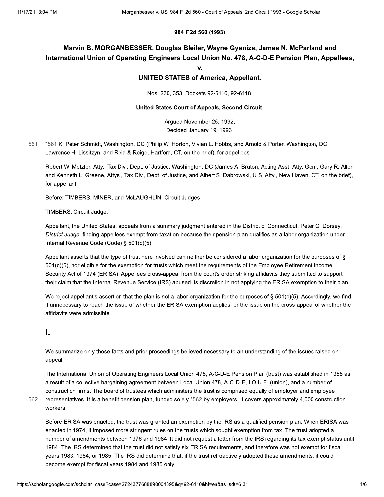#### 984 F.2d 560 (1993)

# Marvin B. MORGANBESSER, Douglas Bleiler, Wayne Gyenizs, James N. McParland and International Union of Operating Engineers Local Union No. 478, A-C-D-E Pension Plan, Appellees,

 $\mathbf{v}$ 

### **UNITED STATES of America, Appellant.**

Nos. 230, 353, Dockets 92-6110, 92-6118.

#### United States Court of Appeals, Second Circuit.

Argued November 25, 1992. Decided January 19, 1993.

561 \*561 K. Peter Schmidt, Washington, DC (Philip W. Horton, Vivian L. Hobbs, and Arnold & Porter, Washington, DC; Lawrence H. Lissitzyn, and Reid & Reige, Hartford, CT, on the brief), for appellees.

Robert W. Metzler, Atty., Tax Div., Dept. of Justice, Washington, DC (James A. Bruton, Acting Asst. Atty. Gen., Gary R. Allen and Kenneth L. Greene, Attys., Tax Div., Dept. of Justice, and Albert S. Dabrowski, U.S. Atty., New Haven, CT, on the brief), for appellant.

Before: TIMBERS, MINER, and McLAUGHLIN, Circuit Judges.

TIMBERS, Circuit Judge:

Appellant, the United States, appeals from a summary judgment entered in the District of Connecticut, Peter C. Dorsey, District Judge, finding appellees exempt from taxation because their pension plan qualifies as a labor organization under Internal Revenue Code (Code) § 501(c)(5).

Appellant asserts that the type of trust here involved can neither be considered a labor organization for the purposes of § 501(c)(5), nor eligible for the exemption for trusts which meet the requirements of the Employee Retirement Income Security Act of 1974 (ERISA). Appellees cross-appeal from the court's order striking affidavits they submitted to support their claim that the Internal Revenue Service (IRS) abused its discretion in not applying the ERISA exemption to their plan.

We reject appellant's assertion that the plan is not a labor organization for the purposes of § 501(c)(5). Accordingly, we find it unnecessary to reach the issue of whether the ERISA exemption applies, or the issue on the cross-appeal of whether the affidavits were admissible.

## L

We summarize only those facts and prior proceedings believed necessary to an understanding of the issues raised on appeal.

The International Union of Operating Engineers Local Union 478, A-C-D-E Pension Plan (trust) was established in 1958 as a result of a collective bargaining agreement between Local Union 478, A-C-D-E, I.O.U.E. (union), and a number of construction firms. The board of trustees which administers the trust is comprised equally of employer and employee representatives. It is a benefit pension plan, funded solely \*562 by employers. It covers approximately 4,000 construction workers.

562

Before ERISA was enacted, the trust was granted an exemption by the IRS as a qualified pension plan. When ERISA was enacted in 1974, it imposed more stringent rules on the trusts which sought exemption from tax. The trust adopted a number of amendments between 1976 and 1984. It did not request a letter from the IRS regarding its tax exempt status until 1984. The IRS determined that the trust did not satisfy six ERISA requirements, and therefore was not exempt for fiscal years 1983, 1984, or 1985. The IRS did determine that, if the trust retroactively adopted these amendments, it could become exempt for fiscal years 1984 and 1985 only.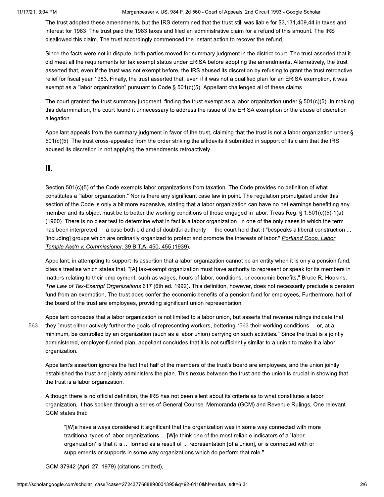The trust adopted these amendments, but the IRS determined that the trust still was liable for \$3,131,409.44 in taxes and interest for 1983. The trust paid the 1983 taxes and filed an administrative claim for a refund of this amount. The IRS disallowed this claim. The trust accordingly commenced the instant action to recover the refund.

Since the facts were not in dispute, both parties moved for summary judgment in the district court. The trust asserted that it did meet all the requirements for tax exempt status under ERISA before adopting the amendments. Alternatively, the trust asserted that, even if the trust was not exempt before, the IRS abused its discretion by refusing to grant the trust retroactive relief for fiscal year 1983. Finally, the trust asserted that, even if it was not a qualified plan for an ERISA exemption, it was exempt as a "labor organization" pursuant to Code § 501(c)(5). Appellant challenged all of these claims.

The court granted the trust summary judgment, finding the trust exempt as a labor organization under  $\S$  501(c)(5). In making this determination, the court found it unnecessary to address the issue of the ERISA exemption or the abuse of discretion allegation.

Appellant appeals from the summary judgment in favor of the trust, claiming that the trust is not a labor organization under § 501(c)(5). The trust cross-appealed from the order striking the affidavits it submitted in support of its claim that the IRS abused its discretion in not applying the amendments retroactively.

## Ш.

Section 501(c)(5) of the Code exempts labor organizations from taxation. The Code provides no definition of what constitutes a "labor organization." Nor is there any significant case law in point. The regulation promulgated under this section of the Code is only a bit more expansive, stating that a labor organization can have no net earnings benefitting any member and its object must be to better the working conditions of those engaged in labor. Treas.Reg. § 1.501(c)(5)-1(a) (1960). There is no clear test to determine what in fact is a labor organization. In one of the only cases in which the term has been interpreted — a case both old and of doubtful authority — the court held that it "bespeaks a liberal construction ... [including] groups which are ordinarily organized to protect and promote the interests of labor." Portland Coop. Labor Temple Ass'n v. Commissioner, 39 B.T.A. 450, 455 (1939).

Appellant, in attempting to support its assertion that a labor organization cannot be an entity when it is only a pension fund, cites a treatise which states that, "[A] tax-exempt organization must have authority to represent or speak for its members in matters relating to their employment, such as wages, hours of labor, conditions, or economic benefits." Bruce R. Hopkins, The Law of Tax-Exempt Organizations 617 (6th ed. 1992). This definition, however, does not necessarily preclude a pension fund from an exemption. The trust does confer the economic benefits of a pension fund for employees. Furthermore, half of the board of the trust are employees, providing significant union representation.

563

Appellant concedes that a labor organization is not limited to a labor union, but asserts that revenue rulings indicate that they "must either actively further the goals of representing workers, bettering \*563 their working conditions ... or, at a minimum, be controlled by an organization (such as a labor union) carrying on such activities." Since the trust is a jointly administered, employer-funded plan, appellant concludes that it is not sufficiently similar to a union to make it a labor organization.

Appellant's assertion ignores the fact that half of the members of the trust's board are employees, and the union jointly established the trust and jointly administers the plan. This nexus between the trust and the union is crucial in showing that the trust is a labor organization.

Although there is no official definition, the IRS has not been silent about its criteria as to what constitutes a labor organization. It has spoken through a series of General Counsel Memoranda (GCM) and Revenue Rulings. One relevant GCM states that:

"[W]e have always considered it significant that the organization was in some way connected with more traditional types of labor organizations.... [W]e think one of the most reliable indicators of a `labor organization' is that it is ... formed as a result of ... representation [of a union], or is connected with or supplements or supports in some way organizations which do perform that role."

GCM 37942 (April 27, 1979) (citations omitted).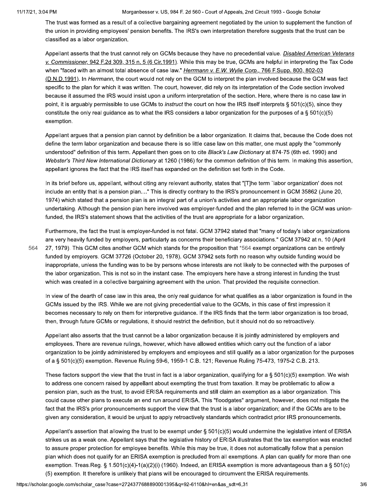The trust was formed as a result of a collective bargaining agreement negotiated by the union to supplement the function of the union in providing employees' pension benefits. The IRS's own interpretation therefore suggests that the trust can be classified as a labor organization.

Appellant asserts that the trust cannot rely on GCMs because they have no precedential value. Disabled American Veterans v. Commissioner, 942 F.2d 309, 315 n. 5 (6 Cir.1991). While this may be true, GCMs are helpful in interpreting the Tax Code when "faced with an almost total absence of case law." Herrmann v. E.W. Wylie Corp., 766 F.Supp. 800, 802-03 (D.N.D.1991). In Herrmann, the court would not rely on the GCM to interpret the plan involved because the GCM was fact specific to the plan for which it was written. The court, however, did rely on its interpretation of the Code section involved because it assumed the IRS would insist upon a uniform interpretation of the section. Here, where there is no case law in point, it is arguably permissible to use GCMs to *instruct* the court on how the IRS itself interprets § 501(c)(5), since they constitute the only real quidance as to what the IRS considers a labor organization for the purposes of a § 501(c)(5) exemption.

Appellant argues that a pension plan cannot by definition be a labor organization. It claims that, because the Code does not define the term labor organization and because there is so little case law on this matter, one must apply the "commonly understood" definition of this term. Appellant then goes on to cite Black's Law Dictionary at 874-75 (6th ed. 1990) and Webster's Third New International Dictionary at 1260 (1986) for the common definition of this term. In making this assertion, appellant ignores the fact that the IRS itself has expanded on the definition set forth in the Code.

In its brief before us, appellant, without citing any relevant authority, states that "[T]he term `labor organization' does not include an entity that is a pension plan...." This is directly contrary to the IRS's pronouncement in GCM 35862 (June 20, 1974) which stated that a pension plan is an integral part of a union's activities and an appropriate labor organization undertaking. Although the pension plan here involved was employer-funded and the plan referred to in the GCM was unionfunded, the IRS's statement shows that the activities of the trust are appropriate for a labor organization.

564

Furthermore, the fact the trust is employer-funded is not fatal. GCM 37942 stated that "many of today's labor organizations are very heavily funded by employers, particularly as concerns their beneficiary associations." GCM 37942 at n. 10 (April 27, 1979). This GCM cites another GCM which stands for the proposition that \*564 exempt organizations can be entirely funded by employers. GCM 37726 (October 20, 1978). GCM 37942 sets forth no reason why outside funding would be inappropriate, unless the funding was to be by persons whose interests are not likely to be connected with the purposes of the labor organization. This is not so in the instant case. The employers here have a strong interest in funding the trust which was created in a collective bargaining agreement with the union. That provided the requisite connection.

In view of the dearth of case law in this area, the only real guidance for what qualifies as a labor organization is found in the GCMs issued by the IRS. While we are not giving precedential value to the GCMs, in this case of first impression it becomes necessary to rely on them for interpretive guidance. If the IRS finds that the term labor organization is too broad, then, through future GCMs or regulations, it should restrict the definition, but it should not do so retroactively.

Appellant also asserts that the trust cannot be a labor organization because it is jointly administered by employers and employees. There are revenue rulings, however, which have allowed entities which carry out the function of a labor organization to be jointly administered by employers and employees and still qualify as a labor organization for the purposes of a § 501(c)(5) exemption. Revenue Ruling 59-6, 1959-1 C.B. 121; Revenue Ruling 75-473, 1975-2 C.B. 213.

These factors support the view that the trust in fact is a labor organization, qualifying for a  $\S 501(c)(5)$  exemption. We wish to address one concern raised by appellant about exempting the trust from taxation. It may be problematic to allow a pension plan, such as the trust, to avoid ERISA requirements and still claim an exemption as a labor organization. This could cause other plans to execute an end run around ERISA. This "floodgates" argument, however, does not mitigate the fact that the IRS's prior pronouncements support the view that the trust is a labor organization; and if the GCMs are to be given any consideration, it would be unjust to apply retroactively standards which contradict prior IRS pronouncements.

Appellant's assertion that allowing the trust to be exempt under § 501(c)(5) would undermine the legislative intent of ERISA strikes us as a weak one. Appellant says that the legislative history of ERISA illustrates that the tax exemption was enacted to assure proper protection for employee benefits. While this may be true, it does not automatically follow that a pension plan which does not qualify for an ERISA exemption is precluded from all exemptions. A plan can qualify for more than one exemption. Treas.Reg. § 1.501(c)(4)-1(a)(2)(i) (1960). Indeed, an ERISA exemption is more advantageous than a § 501(c) (5) exemption. It therefore is unlikely that plans will be encouraged to circumvent the ERISA requirements.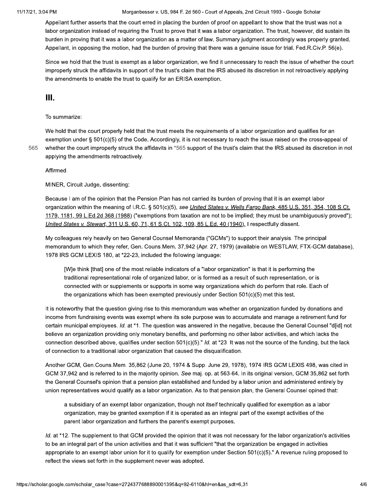Appellant further asserts that the court erred in placing the burden of proof on appellant to show that the trust was not a labor organization instead of requiring the Trust to prove that it was a labor organization. The trust, however, did sustain its burden in proving that it was a labor organization as a matter of law. Summary judgment accordingly was properly granted. Appellant, in opposing the motion, had the burden of proving that there was a genuine issue for trial. Fed.R.Civ.P. 56(e).

Since we hold that the trust is exempt as a labor organization, we find it unnecessary to reach the issue of whether the court improperly struck the affidavits in support of the trust's claim that the IRS abused its discretion in not retroactively applying the amendments to enable the trust to qualify for an ERISA exemption.

## Ш.

#### To summarize:

We hold that the court properly held that the trust meets the requirements of a labor organization and qualifies for an exemption under § 501(c)(5) of the Code. Accordingly, it is not necessary to reach the issue raised on the cross-appeal of whether the court improperly struck the affidavits in \*565 support of the trust's claim that the IRS abused its discretion in not applying the amendments retroactively.

Affirmed.

565

MINER, Circuit Judge, dissenting:

Because I am of the opinion that the Pension Plan has not carried its burden of proving that it is an exempt labor organization within the meaning of I.R.C. § 501(c)(5), see United States v. Wells Fargo Bank, 485 U.S. 351, 354, 108 S.Ct. 1179, 1181, 99 L.Ed.2d 368 (1988) ("exemptions from taxation are not to be implied; they must be unambiguously proved"); United States v. Stewart, 311 U.S. 60, 71, 61 S.Ct. 102, 109, 85 L.Ed. 40 (1940), I respectfully dissent.

My colleagues rely heavily on two General Counsel Memoranda ("GCMs") to support their analysis. The principal memorandum to which they refer, Gen. Couns.Mem. 37,942 (Apr. 27, 1979) (available on WESTLAW, FTX-GCM database), 1978 IRS GCM LEXIS 180, at \*22-23, included the following language:

[W]e think [that] one of the most reliable indicators of a "labor organization" is that it is performing the traditional representational role of organized labor, or is formed as a result of such representation, or is connected with or supplements or supports in some way organizations which do perform that role. Each of the organizations which has been exempted previously under Section  $501(c)(5)$  met this test.

It is noteworthy that the question giving rise to this memorandum was whether an organization funded by donations and income from fundraising events was exempt where its sole purpose was to accumulate and manage a retirement fund for certain municipal employees. Id. at \*1. The question was answered in the negative, because the General Counsel "d[id] not believe an organization providing only monetary benefits, and performing no other labor activities, and which lacks the connection described above, qualifies under section 501(c)(5)." Id. at \*23. It was not the source of the funding, but the lack of connection to a traditional labor organization that caused the disqualification.

Another GCM, Gen.Couns.Mem. 35,862 (June 20, 1974 & Supp. June 29, 1978), 1974 IRS GCM LEXIS 498, was cited in GCM 37,942 and is referred to in the majority opinion. See maj. op. at 563-64. In its original version, GCM 35,862 set forth the General Counsel's opinion that a pension plan established and funded by a labor union and administered entirely by union representatives would qualify as a labor organization. As to that pension plan, the General Counsel opined that:

a subsidiary of an exempt labor organization, though not itself technically qualified for exemption as a labor organization, may be granted exemption if it is operated as an integral part of the exempt activities of the parent labor organization and furthers the parent's exempt purposes.

Id. at \*12. The supplement to that GCM provided the opinion that it was not necessary for the labor organization's activities to be an integral part of the union activities and that it was sufficient "that the organization be engaged in activities appropriate to an exempt labor union for it to qualify for exemption under Section 501(c)(5)." A revenue ruling proposed to reflect the views set forth in the supplement never was adopted.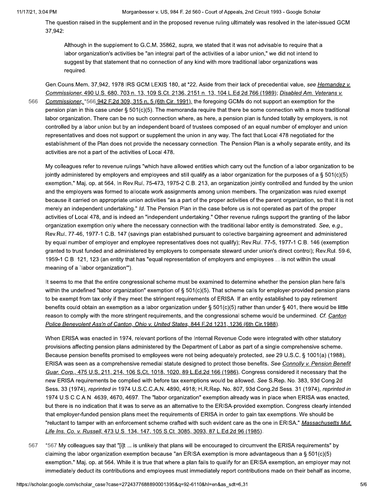566

The question raised in the supplement and in the proposed revenue ruling ultimately was resolved in the later-issued GCM 37,942:

Although in the supplement to G.C.M. 35862, supra, we stated that it was not advisable to require that a labor organization's activities be "an integral part of the activities of a labor union," we did not intend to suggest by that statement that no connection of any kind with more traditional labor organizations was required.

Gen.Couns.Mem. 37,942, 1978 IRS GCM LEXIS 180, at \*22. Aside from their lack of precedential value, see Hernandez v. Commissioner, 490 U.S. 680, 703 n. 13, 109 S.Ct. 2136, 2151 n. 13, 104 L.Ed.2d 766 (1989); Disabled Am. Veterans v. Commissioner, \*566 942 F.2d 309, 315 n. 5 (6th Cir. 1991), the foregoing GCMs do not support an exemption for the pension plan in this case under § 501(c)(5). The memoranda require that there be some connection with a more traditional labor organization. There can be no such connection where, as here, a pension plan is funded totally by employers, is not controlled by a labor union but by an independent board of trustees composed of an equal number of employer and union representatives and does not support or supplement the union in any way. The fact that Local 478 negotiated for the establishment of the Plan does not provide the necessary connection. The Pension Plan is a wholly separate entity, and its activities are not a part of the activities of Local 478.

My colleagues refer to revenue rulings "which have allowed entities which carry out the function of a labor organization to be jointly administered by employers and employees and still qualify as a labor organization for the purposes of a  $\S 501(c)(5)$ exemption." Maj. op. at 564. In Rev.Rul. 75-473, 1975-2 C.B. 213, an organization jointly controlled and funded by the union and the employers was formed to allocate work assignments among union members. The organization was ruled exempt because it carried on appropriate union activities "as a part of the proper activities of the parent organization, so that it is not merely an independent undertaking." Id. The Pension Plan in the case before us is not operated as part of the proper activities of Local 478, and is indeed an "independent undertaking." Other revenue rulings support the granting of the labor organization exemption only where the necessary connection with the traditional labor entity is demonstrated. See, e.g., Rev.Rul. 77-46, 1977-1 C.B. 147 (savings plan established pursuant to collective bargaining agreement and administered by equal number of employer and employee representatives does not qualify); Rev.Rul. 77-5, 1977-1 C.B. 146 (exemption granted to trust funded and administered by employers to compensate steward under union's direct control); Rev.Rul. 59-6, 1959-1 C.B. 121, 123 (an entity that has "equal representation of employers and employees ... is not within the usual meaning of a 'labor organization'").

It seems to me that the entire congressional scheme must be examined to determine whether the pension plan here falls within the undefined "labor organization" exemption of  $\S 501(c)(5)$ . That scheme calls for employer-provided pension plans to be exempt from tax only if they meet the stringent requirements of ERISA. If an entity established to pay retirement benefits could obtain an exemption as a labor organization under § 501(c)(5) rather than under § 401, there would be little reason to comply with the more stringent requirements, and the congressional scheme would be undermined. Cf. Canton Police Benevolent Ass'n of Canton, Ohio v. United States, 844 F.2d 1231, 1236 (6th Cir.1988).

When ERISA was enacted in 1974, relevant portions of the Internal Revenue Code were integrated with other statutory provisions affecting pension plans administered by the Department of Labor as part of a single comprehensive scheme. Because pension benefits promised to employees were not being adequately protected, see 29 U.S.C. § 1001(a) (1988), ERISA was seen as a comprehensive remedial statute designed to protect those benefits. See Connolly v. Pension Benefit Guar. Corp., 475 U.S. 211, 214, 106 S.Ct. 1018, 1020, 89 L.Ed.2d 166 (1986). Congress considered it necessary that the new ERISA requirements be complied with before tax exemptions would be allowed. See S.Rep. No. 383, 93d Cong.2d Sess. 33 (1974), reprinted in 1974 U.S.C.C.A.N. 4890, 4918; H.R.Rep. No. 807, 93d Cong.2d Sess. 31 (1974), reprinted in 1974 U.S.C.C.A.N. 4639, 4670, 4697. The "labor organization" exemption already was in place when ERISA was enacted, but there is no indication that it was to serve as an alternative to the ERISA-provided exemption. Congress clearly intended that employer-funded pension plans meet the requirements of ERISA in order to gain tax exemptions. We should be "reluctant to tamper with an enforcement scheme crafted with such evident care as the one in ERISA." Massachusetts Mut. Life Ins. Co. v. Russell, 473 U.S. 134, 147, 105 S.Ct. 3085, 3093, 87 L.Ed.2d 96 (1985).

\*567 My colleagues say that "[i]t ... is unlikely that plans will be encouraged to circumvent the ERISA requirements" by 567 claiming the labor organization exemption because "an ERISA exemption is more advantageous than a § 501(c)(5) exemption." Maj. op. at 564. While it is true that where a plan fails to qualify for an ERISA exemption, an employer may not immediately deduct its contributions and employees must immediately report contributions made on their behalf as income,